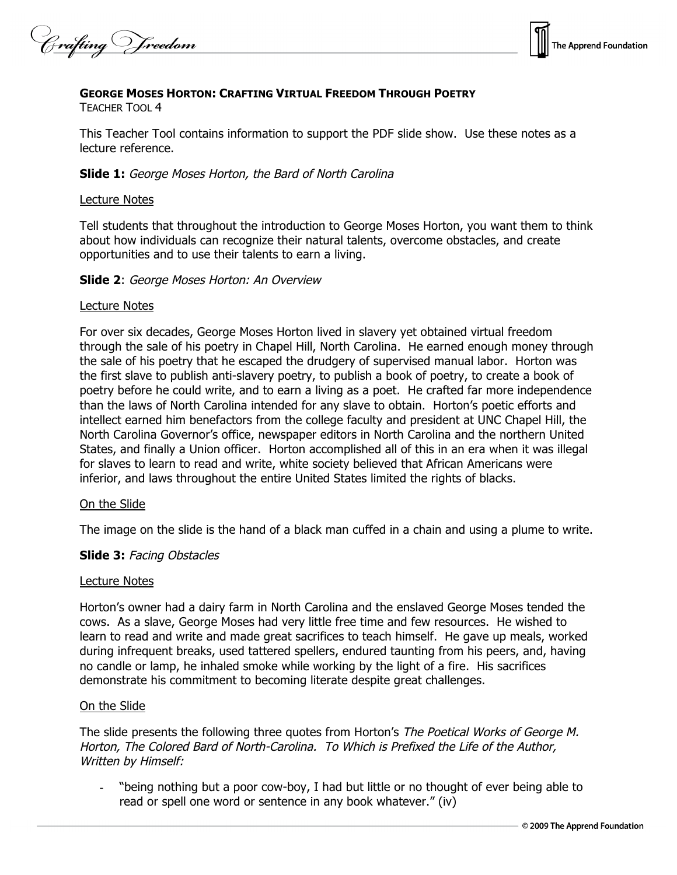Crafting V freedom



### **GEORGE MOSES HORTON: CRAFTING VIRTUAL FREEDOM THROUGH POETRY**

TEACHER TOOL 4

This Teacher Tool contains information to support the PDF slide show. Use these notes as a lecture reference.

### **Slide 1:** George Moses Horton, the Bard of North Carolina

### Lecture Notes

Tell students that throughout the introduction to George Moses Horton, you want them to think about how individuals can recognize their natural talents, overcome obstacles, and create opportunities and to use their talents to earn a living.

### **Slide 2**: George Moses Horton: An Overview

### Lecture Notes

For over six decades, George Moses Horton lived in slavery yet obtained virtual freedom through the sale of his poetry in Chapel Hill, North Carolina. He earned enough money through the sale of his poetry that he escaped the drudgery of supervised manual labor. Horton was the first slave to publish anti-slavery poetry, to publish a book of poetry, to create a book of poetry before he could write, and to earn a living as a poet. He crafted far more independence than the laws of North Carolina intended for any slave to obtain. Horton's poetic efforts and intellect earned him benefactors from the college faculty and president at UNC Chapel Hill, the North Carolina Governor's office, newspaper editors in North Carolina and the northern United States, and finally a Union officer. Horton accomplished all of this in an era when it was illegal for slaves to learn to read and write, white society believed that African Americans were inferior, and laws throughout the entire United States limited the rights of blacks.

#### On the Slide

The image on the slide is the hand of a black man cuffed in a chain and using a plume to write.

### **Slide 3:** Facing Obstacles

#### Lecture Notes

Horton's owner had a dairy farm in North Carolina and the enslaved George Moses tended the cows. As a slave, George Moses had very little free time and few resources. He wished to learn to read and write and made great sacrifices to teach himself. He gave up meals, worked during infrequent breaks, used tattered spellers, endured taunting from his peers, and, having no candle or lamp, he inhaled smoke while working by the light of a fire. His sacrifices demonstrate his commitment to becoming literate despite great challenges.

### On the Slide

The slide presents the following three quotes from Horton's The Poetical Works of George M. Horton, The Colored Bard of North-Carolina. To Which is Prefixed the Life of the Author, Written by Himself:

"being nothing but a poor cow-boy, I had but little or no thought of ever being able to read or spell one word or sentence in any book whatever." (iv)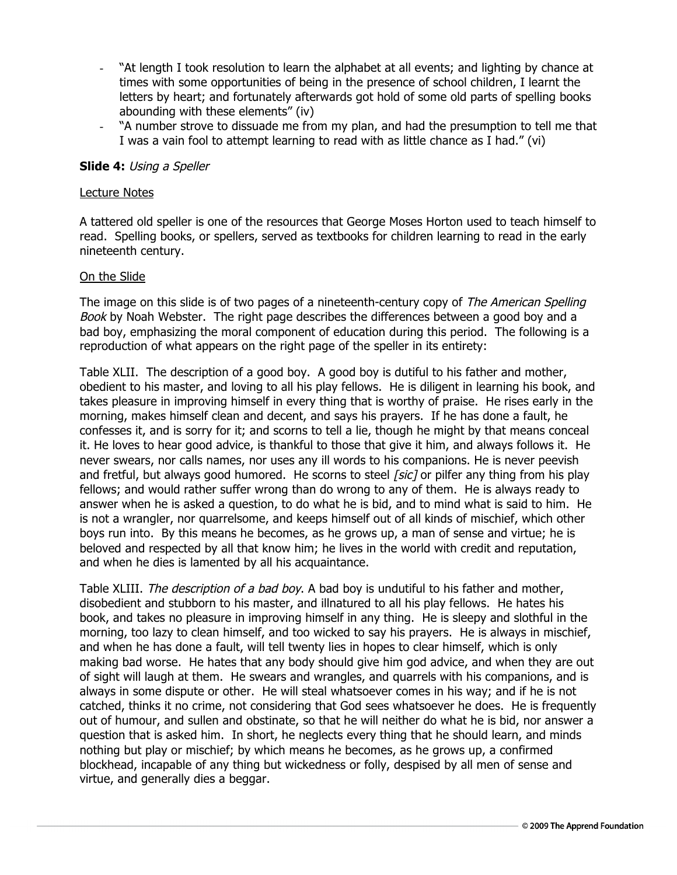- "At length I took resolution to learn the alphabet at all events; and lighting by chance at times with some opportunities of being in the presence of school children, I learnt the letters by heart; and fortunately afterwards got hold of some old parts of spelling books abounding with these elements" (iv)
- "A number strove to dissuade me from my plan, and had the presumption to tell me that I was a vain fool to attempt learning to read with as little chance as I had." (vi)

# **Slide 4:** Using <sup>a</sup> Speller

### Lecture Notes

A tattered old speller is one of the resources that George Moses Horton used to teach himself to read. Spelling books, or spellers, served as textbooks for children learning to read in the early nineteenth century.

# On the Slide

The image on this slide is of two pages of a nineteenth-century copy of The American Spelling Book by Noah Webster. The right page describes the differences between a good boy and a bad boy, emphasizing the moral component of education during this period. The following is a reproduction of what appears on the right page of the speller in its entirety:

Table XLII. The description of a good boy. A good boy is dutiful to his father and mother, obedient to his master, and loving to all his play fellows. He is diligent in learning his book, and takes pleasure in improving himself in every thing that is worthy of praise. He rises early in the morning, makes himself clean and decent, and says his prayers. If he has done a fault, he confesses it, and is sorry for it; and scorns to tell a lie, though he might by that means conceal it. He loves to hear good advice, is thankful to those that give it him, and always follows it. He never swears, nor calls names, nor uses any ill words to his companions. He is never peevish and fretful, but always good humored. He scorns to steel *[sic]* or pilfer any thing from his play fellows; and would rather suffer wrong than do wrong to any of them. He is always ready to answer when he is asked a question, to do what he is bid, and to mind what is said to him. He is not a wrangler, nor quarrelsome, and keeps himself out of all kinds of mischief, which other boys run into. By this means he becomes, as he grows up, a man of sense and virtue; he is beloved and respected by all that know him; he lives in the world with credit and reputation, and when he dies is lamented by all his acquaintance.

Table XLIII. The description of a bad boy. A bad boy is undutiful to his father and mother, disobedient and stubborn to his master, and illnatured to all his play fellows. He hates his book, and takes no pleasure in improving himself in any thing. He is sleepy and slothful in the morning, too lazy to clean himself, and too wicked to say his prayers. He is always in mischief, and when he has done a fault, will tell twenty lies in hopes to clear himself, which is only making bad worse. He hates that any body should give him god advice, and when they are out of sight will laugh at them. He swears and wrangles, and quarrels with his companions, and is always in some dispute or other. He will steal whatsoever comes in his way; and if he is not catched, thinks it no crime, not considering that God sees whatsoever he does. He is frequently out of humour, and sullen and obstinate, so that he will neither do what he is bid, nor answer a question that is asked him. In short, he neglects every thing that he should learn, and minds nothing but play or mischief; by which means he becomes, as he grows up, a confirmed blockhead, incapable of any thing but wickedness or folly, despised by all men of sense and virtue, and generally dies a beggar.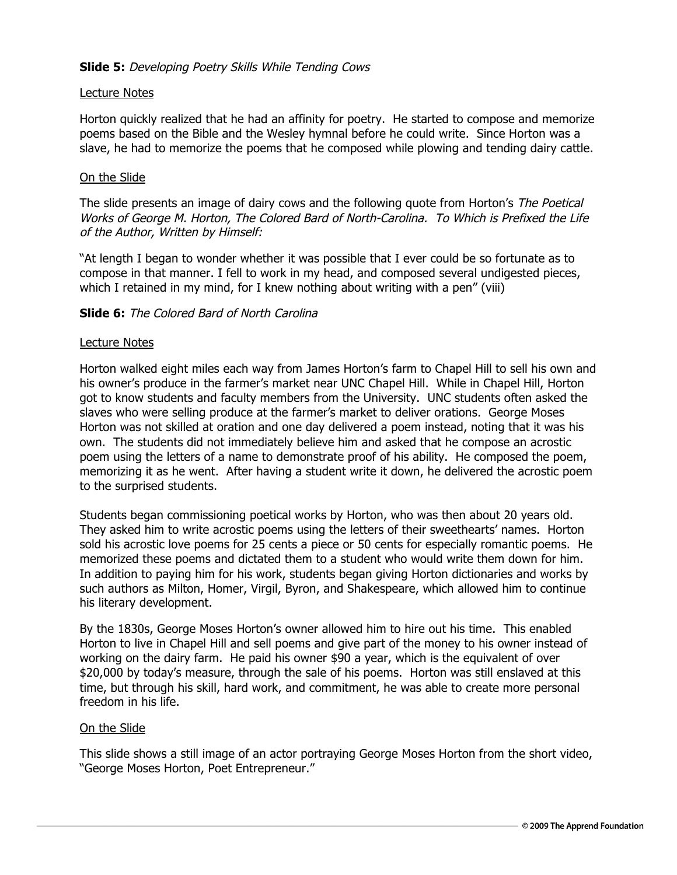# **Slide 5:** Developing Poetry Skills While Tending Cows

### Lecture Notes

Horton quickly realized that he had an affinity for poetry. He started to compose and memorize poems based on the Bible and the Wesley hymnal before he could write. Since Horton was a slave, he had to memorize the poems that he composed while plowing and tending dairy cattle.

### On the Slide

The slide presents an image of dairy cows and the following quote from Horton's The Poetical Works of George M. Horton, The Colored Bard of North-Carolina. To Which is Prefixed the Life of the Author, Written by Himself:

"At length I began to wonder whether it was possible that I ever could be so fortunate as to compose in that manner. I fell to work in my head, and composed several undigested pieces, which I retained in my mind, for I knew nothing about writing with a pen" (viii)

### **Slide 6:** The Colored Bard of North Carolina

### Lecture Notes

Horton walked eight miles each way from James Horton's farm to Chapel Hill to sell his own and his owner's produce in the farmer's market near UNC Chapel Hill. While in Chapel Hill, Horton got to know students and faculty members from the University. UNC students often asked the slaves who were selling produce at the farmer's market to deliver orations. George Moses Horton was not skilled at oration and one day delivered a poem instead, noting that it was his own. The students did not immediately believe him and asked that he compose an acrostic poem using the letters of a name to demonstrate proof of his ability. He composed the poem, memorizing it as he went. After having a student write it down, he delivered the acrostic poem to the surprised students.

Students began commissioning poetical works by Horton, who was then about 20 years old. They asked him to write acrostic poems using the letters of their sweethearts' names. Horton sold his acrostic love poems for 25 cents a piece or 50 cents for especially romantic poems. He memorized these poems and dictated them to a student who would write them down for him. In addition to paying him for his work, students began giving Horton dictionaries and works by such authors as Milton, Homer, Virgil, Byron, and Shakespeare, which allowed him to continue his literary development.

By the 1830s, George Moses Horton's owner allowed him to hire out his time. This enabled Horton to live in Chapel Hill and sell poems and give part of the money to his owner instead of working on the dairy farm. He paid his owner \$90 a year, which is the equivalent of over \$20,000 by today's measure, through the sale of his poems. Horton was still enslaved at this time, but through his skill, hard work, and commitment, he was able to create more personal freedom in his life.

### On the Slide

This slide shows a still image of an actor portraying George Moses Horton from the short video, "George Moses Horton, Poet Entrepreneur."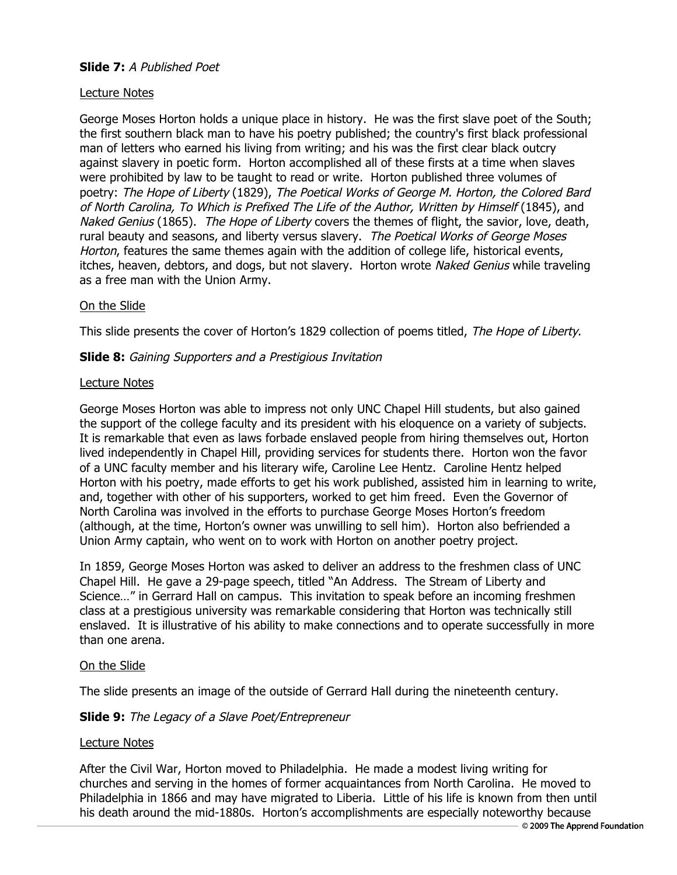# **Slide 7:** A Published Poet

# Lecture Notes

George Moses Horton holds a unique place in history. He was the first slave poet of the South; the first southern black man to have his poetry published; the country's first black professional man of letters who earned his living from writing; and his was the first clear black outcry against slavery in poetic form. Horton accomplished all of these firsts at a time when slaves were prohibited by law to be taught to read or write. Horton published three volumes of poetry: The Hope of Liberty (1829), The Poetical Works of George M. Horton, the Colored Bard of North Carolina, To Which is Prefixed The Life of the Author, Written by Himself (1845), and Naked Genius (1865). The Hope of Liberty covers the themes of flight, the savior, love, death, rural beauty and seasons, and liberty versus slavery. The Poetical Works of George Moses Horton, features the same themes again with the addition of college life, historical events, itches, heaven, debtors, and dogs, but not slavery. Horton wrote Naked Genius while traveling as a free man with the Union Army.

# On the Slide

This slide presents the cover of Horton's 1829 collection of poems titled, The Hope of Liberty.

# **Slide 8:** Gaining Supporters and <sup>a</sup> Prestigious Invitation

### Lecture Notes

George Moses Horton was able to impress not only UNC Chapel Hill students, but also gained the support of the college faculty and its president with his eloquence on a variety of subjects. It is remarkable that even as laws forbade enslaved people from hiring themselves out, Horton lived independently in Chapel Hill, providing services for students there. Horton won the favor of a UNC faculty member and his literary wife, Caroline Lee Hentz. Caroline Hentz helped Horton with his poetry, made efforts to get his work published, assisted him in learning to write, and, together with other of his supporters, worked to get him freed. Even the Governor of North Carolina was involved in the efforts to purchase George Moses Horton's freedom (although, at the time, Horton's owner was unwilling to sell him). Horton also befriended a Union Army captain, who went on to work with Horton on another poetry project.

In 1859, George Moses Horton was asked to deliver an address to the freshmen class of UNC Chapel Hill. He gave a 29-page speech, titled "An Address. The Stream of Liberty and Science…" in Gerrard Hall on campus. This invitation to speak before an incoming freshmen class at a prestigious university was remarkable considering that Horton was technically still enslaved. It is illustrative of his ability to make connections and to operate successfully in more than one arena.

### On the Slide

The slide presents an image of the outside of Gerrard Hall during the nineteenth century.

# **Slide 9:** The Legacy of <sup>a</sup> Slave Poet/Entrepreneur

### Lecture Notes

After the Civil War, Horton moved to Philadelphia. He made a modest living writing for churches and serving in the homes of former acquaintances from North Carolina. He moved to Philadelphia in 1866 and may have migrated to Liberia. Little of his life is known from then until his death around the mid-1880s. Horton's accomplishments are especially noteworthy because